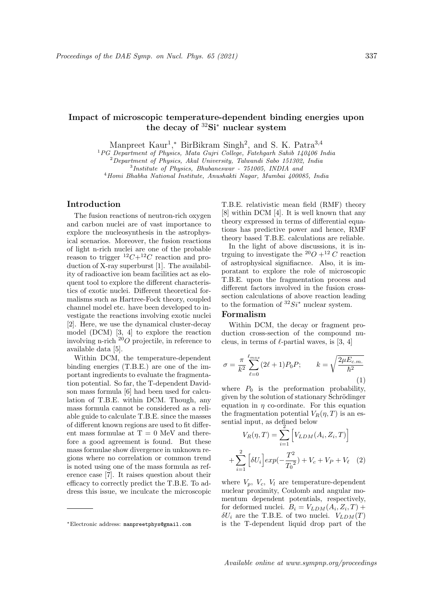# Impact of microscopic temperature-dependent binding energies upon the decay of <sup>32</sup>Si<sup>∗</sup> nuclear system

Manpreet Kaur<sup>1</sup>,\* BirBikram Singh<sup>2</sup>, and S. K. Patra<sup>3,4</sup>

<sup>1</sup>PG Department of Physics, Mata Gujri College, Fatehgarh Sahib 140406 India

 $2$ Department of Physics, Akal University, Talwandi Sabo 151302, India

3 Institute of Physics, Bhubaneswar - 751005, INDIA and

<sup>4</sup>Homi Bhabha National Institute, Anushakti Nagar, Mumbai 400085, India

## Introduction

The fusion reactions of neutron-rich oxygen and carbon nuclei are of vast importance to explore the nucleosynthesis in the astrophysical scenarios. Moreover, the fusion reactions of light n-rich nuclei are one of the probable reason to trigger  ${}^{12}C+{}^{12}C$  reaction and production of X-ray superburst [1]. The availability of radioactive ion beam facilities act as eloquent tool to explore the different characteristics of exotic nuclei. Different theoretical formalisms such as Hartree-Fock theory, coupled channel model etc. have been developed to investigate the reactions involving exotic nuclei [2]. Here, we use the dynamical cluster-decay model (DCM) [3, 4] to explore the reaction involving n-rich  $^{20}O$  projectile, in reference to available data [5].

Within DCM, the temperature-dependent binding energies (T.B.E.) are one of the important ingredients to evaluate the fragmentation potential. So far, the T-dependent Davidson mass formula [6] had been used for calculation of T.B.E. within DCM. Though, any mass formula cannot be considered as a reliable guide to calculate T.B.E. since the masses of different known regions are used to fit different mass formulae at  $T = 0$  MeV and therefore a good agreement is found. But these mass formulae show divergence in unknown regions where no correlation or common trend is noted using one of the mass formula as reference case [7]. It raises question about their efficacy to correctly predict the T.B.E. To address this issue, we inculcate the microscopic T.B.E. relativistic mean field (RMF) theory [8] within DCM [4]. It is well known that any theory expressed in terms of differential equations has predictive power and hence, RMF theory based T.B.E. calculations are reliable.

In the light of above discussions, it is intrguing to investigate the <sup>20</sup>O +<sup>12</sup> C reaction of astrophysical signifiacnce. Also, it is imporatant to explore the role of microscopic T.B.E. upon the fragmentation process and different factors involved in the fusion crosssection calculations of above reaction leading to the formation of  ${}^{32}Si^*$  nuclear system.

## Formalism

Within DCM, the decay or fragment production cross-section of the compound nucleus, in terms of  $\ell$ -partial waves, is [3, 4]

$$
\sigma = \frac{\pi}{k^2} \sum_{\ell=0}^{\ell_{max}} (2\ell+1) P_0 P; \qquad k = \sqrt{\frac{2\mu E_{c.m.}}{\hbar^2}} \tag{1}
$$

where  $P_0$  is the preformation probability, given by the solution of stationary Schrödinger equation in  $\eta$  co-ordinate. For this equation the fragmentation potential  $V_R(\eta, T)$  is an essential input, as defined below .<br>i

$$
V_R(\eta, T) = \sum_{i=1}^{2} \left[ V_{LDM}(A_i, Z_i, T) \right]
$$

$$
+ \sum_{i=1}^{2} \left[ \delta U_i \right] exp(-\frac{T^2}{T_0^2}) + V_c + V_P + V_\ell \quad (2)
$$

where  $V_p$ ,  $V_c$ ,  $V_l$  are temperature-dependent nuclear proximity, Coulomb and angular momentum dependent potentials, respectively, for deformed nuclei.  $B_i = V_{LDM}(A_i, Z_i, T) +$  $\delta U_i$  are the T.B.E. of two nuclei.  $V_{LDM}(T)$ is the T-dependent liquid drop part of the

<sup>∗</sup>Electronic address: manpreetphys@gmail.com